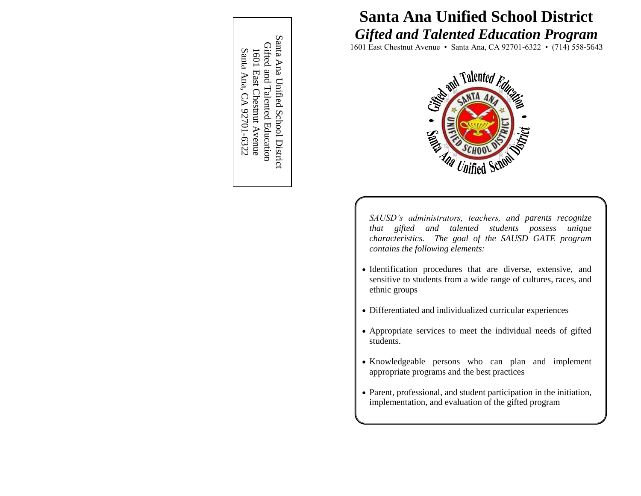Santa Ana Unified School District Santa Ana Unified School District Gifted and Talented Education Gifted and Talented Education 1601 East Chestnut Avenue<br>Santa Ana, CA 92701-6322 Santa Ana, CA 92701 1601 East Chestnut Avenue

# **Santa Ana Unified School District** *Gifted and Talented Education Program*

1601 East Chestnut Avenue • Santa Ana, CA 92701-6322 • (714) 558-5643



*SAUSD's administrators, teachers, and parents recognize that gifted and talented students possess unique characteristics. The goal of the SAUSD GATE program contains the following elements:*

- Identification procedures that are diverse, extensive, and sensitive to students from a wide range of cultures, races, and ethnic groups
- Differentiated and individualized curricular experiences
- Appropriate services to meet the individual needs of gifted students.
- Knowledgeable persons who can plan and implement appropriate programs and the best practices
- Parent, professional, and student participation in the initiation, implementation, and evaluation of the gifted program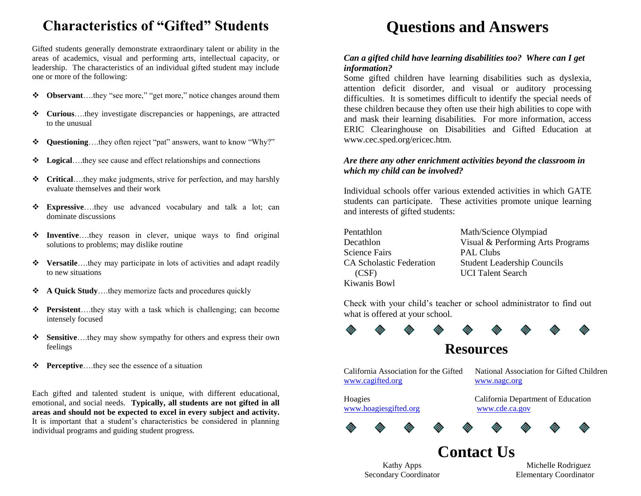## **Characteristics of "Gifted" Students**

Gifted students generally demonstrate extraordinary talent or ability in the areas of academics, visual and performing arts, intellectual capacity, or leadership. The characteristics of an individual gifted student may include one or more of the following:

- **Observant**….they "see more," "get more," notice changes around them
- **Curious**….they investigate discrepancies or happenings, are attracted to the unusual
- **Questioning**….they often reject "pat" answers, want to know "Why?"
- **Logical**….they see cause and effect relationships and connections
- **Critical**….they make judgments, strive for perfection, and may harshly evaluate themselves and their work
- **Expressive**….they use advanced vocabulary and talk a lot; can dominate discussions
- **Inventive**….they reason in clever, unique ways to find original solutions to problems; may dislike routine
- **Versatile**….they may participate in lots of activities and adapt readily to new situations
- **A Quick Study**….they memorize facts and procedures quickly
- **Persistent**….they stay with a task which is challenging; can become intensely focused
- **Sensitive**….they may show sympathy for others and express their own feelings
- **Perceptive**….they see the essence of a situation

Each gifted and talented student is unique, with different educational, emotional, and social needs. **Typically, all students are not gifted in all areas and should not be expected to excel in every subject and activity.** It is important that a student's characteristics be considered in planning individual programs and guiding student progress.

# **Questions and Answers**

#### *Can a gifted child have learning disabilities too? Where can I get information?*

Some gifted children have learning disabilities such as dyslexia, attention deficit disorder, and visual or auditory processing difficulties. It is sometimes difficult to identify the special needs of these children because they often use their high abilities to cope with and mask their learning disabilities. For more information, access ERIC Clearinghouse on Disabilities and Gifted Education at www.cec.sped.org/ericec.htm.

#### *Are there any other enrichment activities beyond the classroom in which my child can be involved?*

Individual schools offer various extended activities in which GATE students can participate. These activities promote unique learning and interests of gifted students:

Pentathlon Math/Science Olympiad Science Fairs PAL Clubs (CSF) UCI Talent Search Kiwanis Bowl

Decathlon Visual & Performing Arts Programs CA Scholastic Federation Student Leadership Councils

Check with your child's teacher or school administrator to find out what is offered at your school.



## **Resources**

[www.cagifted.org](http://www.cagifted.org/) [www.nagc.org](http://www.nagc.org/)

California Association for the Gifted National Association for Gifted Children

[www.hoagiesgifted.org](http://www.hoagiesgifted.org/) [www.cde.ca.gov](http://www.cde.ca.gov/)

Hoagies California Department of Education





Secondary Coordinator Elementary Coordinator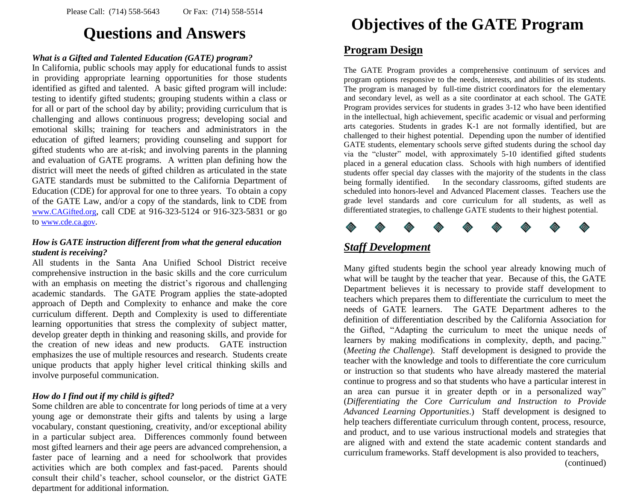# **Questions and Answers**

#### *What is a Gifted and Talented Education (GATE) program?*

In California, public schools may apply for educational funds to assist in providing appropriate learning opportunities for those students identified as gifted and talented. A basic gifted program will include: testing to identify gifted students; grouping students within a class or for all or part of the school day by ability; providing curriculum that is challenging and allows continuous progress; developing social and emotional skills; training for teachers and administrators in the education of gifted learners; providing counseling and support for gifted students who are at-risk; and involving parents in the planning and evaluation of GATE programs. A written plan defining how the district will meet the needs of gifted children as articulated in the state GATE standards must be submitted to the California Department of Education (CDE) for approval for one to three years. To obtain a copy of the GATE Law, and/or a copy of the standards, link to CDE from [www.CAGifted.org](http://www.cagifted.org/), call CDE at 916-323-5124 or 916-323-5831 or go to [www.cde.ca.gov](http://www.cde.ca.gov/).

#### *How is GATE instruction different from what the general education student is receiving?*

All students in the Santa Ana Unified School District receive comprehensive instruction in the basic skills and the core curriculum with an emphasis on meeting the district's rigorous and challenging academic standards. The GATE Program applies the state-adopted approach of Depth and Complexity to enhance and make the core curriculum different. Depth and Complexity is used to differentiate learning opportunities that stress the complexity of subject matter, develop greater depth in thinking and reasoning skills, and provide for the creation of new ideas and new products. GATE instruction emphasizes the use of multiple resources and research. Students create unique products that apply higher level critical thinking skills and involve purposeful communication.

#### *How do I find out if my child is gifted?*

Some children are able to concentrate for long periods of time at a very young age or demonstrate their gifts and talents by using a large vocabulary, constant questioning, creativity, and/or exceptional ability in a particular subject area. Differences commonly found between most gifted learners and their age peers are advanced comprehension, a faster pace of learning and a need for schoolwork that provides activities which are both complex and fast-paced. Parents should consult their child's teacher, school counselor, or the district GATE department for additional information.

# **Objectives of the GATE Program**

### **Program Design**

The GATE Program provides a comprehensive continuum of services and program options responsive to the needs, interests, and abilities of its students. The program is managed by full-time district coordinators for the elementary and secondary level, as well as a site coordinator at each school. The GATE Program provides services for students in grades 3-12 who have been identified in the intellectual, high achievement, specific academic or visual and performing arts categories. Students in grades K-1 are not formally identified, but are challenged to their highest potential. Depending upon the number of identified GATE students, elementary schools serve gifted students during the school day via the "cluster" model, with approximately 5-10 identified gifted students placed in a general education class. Schools with high numbers of identified students offer special day classes with the majority of the students in the class being formally identified. In the secondary classrooms, gifted students are scheduled into honors-level and Advanced Placement classes. Teachers use the grade level standards and core curriculum for all students, as well as differentiated strategies, to challenge GATE students to their highest potential.



### *Staff Development*

Many gifted students begin the school year already knowing much of what will be taught by the teacher that year. Because of this, the GATE Department believes it is necessary to provide staff development to teachers which prepares them to differentiate the curriculum to meet the needs of GATE learners. The GATE Department adheres to the definition of differentiation described by the California Association for the Gifted, "Adapting the curriculum to meet the unique needs of learners by making modifications in complexity, depth, and pacing." (*Meeting the Challenge*). Staff development is designed to provide the teacher with the knowledge and tools to differentiate the core curriculum or instruction so that students who have already mastered the material continue to progress and so that students who have a particular interest in an area can pursue it in greater depth or in a personalized way" (*Differentiating the Core Curriculum and Instruction to Provide Advanced Learning Opportunities*.) Staff development is designed to help teachers differentiate curriculum through content, process, resource, and product, and to use various instructional models and strategies that are aligned with and extend the state academic content standards and curriculum frameworks. Staff development is also provided to teachers, (continued)